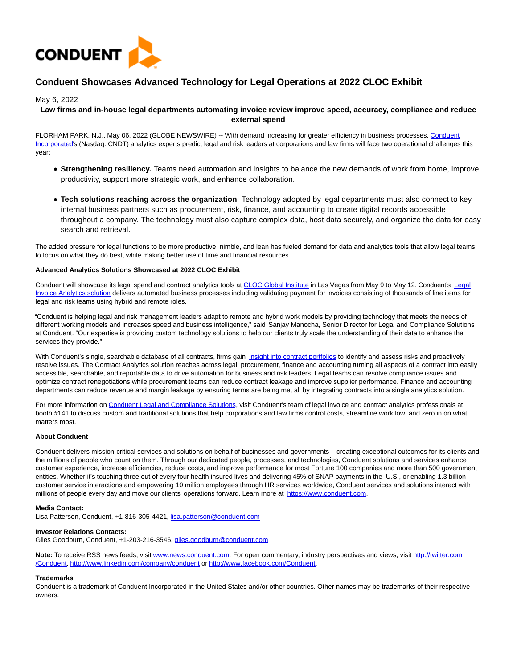

# **Conduent Showcases Advanced Technology for Legal Operations at 2022 CLOC Exhibit**

May 6, 2022

## **Law firms and in-house legal departments automating invoice review improve speed, accuracy, compliance and reduce external spend**

FLORHAM PARK, N.J., May 06, 2022 (GLOBE NEWSWIRE) -- With demand increasing for greater efficiency in business processes, [Conduent](https://www.globenewswire.com/Tracker?data=OIVVv7e-7dDwmPAFyFC58pgaMilI2S7-W8sJurBXKRpBNeMt9rOi731-o0C3o8KyHDj5o3DDJRYZAk1l846OnM_2WvwYdbTTbbfOjvygd8ZhT33oCpviJ4Hx1uGHK9iF_W7Mw6iO3pkSc0d4fPjm98kghC0xrKFTIKVsAJTSiQDr_Cflnx1al1j2HhnyNIZMoSDy1890Mw7fMqlTpWHrEoezPmagB6yUVJBWCIB2KiGkWdyck5SOJHbuUjsM89mfkR6A0faOh7V56hsXMUD7oA==) Incorporated's (Nasdaq: CNDT) analytics experts predict legal and risk leaders at corporations and law firms will face two operational challenges this year:

- **Strengthening resiliency.** Teams need automation and insights to balance the new demands of work from home, improve productivity, support more strategic work, and enhance collaboration.
- **Tech solutions reaching across the organization**. Technology adopted by legal departments must also connect to key internal business partners such as procurement, risk, finance, and accounting to create digital records accessible throughout a company. The technology must also capture complex data, host data securely, and organize the data for easy search and retrieval.

The added pressure for legal functions to be more productive, nimble, and lean has fueled demand for data and analytics tools that allow legal teams to focus on what they do best, while making better use of time and financial resources.

## **Advanced Analytics Solutions Showcased at 2022 CLOC Exhibit**

Conduent will showcase its legal spend and contract analytics tools at [CLOC Global Institute i](https://www.globenewswire.com/Tracker?data=ifwaYBZde1lABZfU_PtiGQ3jpxb34_nYUw8wMLurzMM3CQ8wfzPd8K10UY64vCkl9MSReiUTFfwgdpLPf1xbF-j3LmeZUW8wyVMa2wRSbc9XPJMxzqkfKnZM4eL_1M22zGXD9dgYEwWO9Usp3YlFBKAEDJIONBrADJNkPb--Mz8=)n Las Vegas from May 9 to May 12. Conduent's [Legal](https://www.globenewswire.com/Tracker?data=fv0vGR7NyLH2ah8Z_5kXxnV5S1XrFQZrmaWv045IPeD3W5OshDwgj1Sf0rSxUG8Qxgd1MfHWjJtIyZLipZ9HPulUtBLu6dR78miT03tqd2zi76pFwyMe3EFOMpUXx46PJXTlGQkRxqlRedvkX0SD_AL2hY6SRQpdjH2n4LaDI39ztSU3Ts7IDq-7Pn41uRTEuiTxB-8qsATFL2dBHGtFyC51TWhSLPrZaFSNO2xNteV3VSvS54Ewaeob1Jw0EhFe) Invoice Analytics solution delivers automated business processes including validating payment for invoices consisting of thousands of line items for legal and risk teams using hybrid and remote roles.

"Conduent is helping legal and risk management leaders adapt to remote and hybrid work models by providing technology that meets the needs of different working models and increases speed and business intelligence," said Sanjay Manocha, Senior Director for Legal and Compliance Solutions at Conduent. "Our expertise is providing custom technology solutions to help our clients truly scale the understanding of their data to enhance the services they provide."

With Conduent's single, searchable database of all contracts, firms gain [insight into contract portfolios t](https://www.globenewswire.com/Tracker?data=ka2d8uXdXX7S_Yv08dBA2Rvy8EbLEMoIACKygFxMJTAvQgt3mCP0s2_4JfHcdJPtdZnpIohqJ853YWissw0M7qNwVqUsYjJtWofSlspPljFQU_4_khTtYN1m8BkfdIjcPzb4wX0pHT0jC3fGh5Du6XtF7Bd4228yV71-G8eKHQ0hJyhQjYkFBy3rqrNAzsWhZpq_wpj2mB1hhdeALvQZaieIwLhFZivwwWGwQcdrY7gAq6QKWblMPEFbJjbCUyvWeijR7_GeE94v2k_FNCOTNjDsYCt_2alDwnYfOfIEOj0=)o identify and assess risks and proactively resolve issues. The Contract Analytics solution reaches across legal, procurement, finance and accounting turning all aspects of a contract into easily accessible, searchable, and reportable data to drive automation for business and risk leaders. Legal teams can resolve compliance issues and optimize contract renegotiations while procurement teams can reduce contract leakage and improve supplier performance. Finance and accounting departments can reduce revenue and margin leakage by ensuring terms are being met all by integrating contracts into a single analytics solution.

For more information on [Conduent Legal and Compliance Solutions,](https://www.globenewswire.com/Tracker?data=OIVVv7e-7dDwmPAFyFC58iriwYlDsKRQJ4ddcDthlZe7sWprCiddicuR41bc86pXj_RZe5AVFDdmshV9jQYNh4CwgTl7mjUwQwrVlNKNXT-pS4hzyhP1gKWrlBh9FGKV7UVOgI9Jqcvp03DAqTsu6jmB2L0T0d4FfhF6zEwg_XJcLegZv7mdzGU_uWLOQcsAo-6cr1nDALIzAo-Qx0BEPg==) visit Conduent's team of legal invoice and contract analytics professionals at booth #141 to discuss custom and traditional solutions that help corporations and law firms control costs, streamline workflow, and zero in on what matters most.

## **About Conduent**

Conduent delivers mission-critical services and solutions on behalf of businesses and governments – creating exceptional outcomes for its clients and the millions of people who count on them. Through our dedicated people, processes, and technologies, Conduent solutions and services enhance customer experience, increase efficiencies, reduce costs, and improve performance for most Fortune 100 companies and more than 500 government entities. Whether it's touching three out of every four health insured lives and delivering 45% of SNAP payments in the U.S., or enabling 1.3 billion customer service interactions and empowering 10 million employees through HR services worldwide, Conduent services and solutions interact with millions of people every day and move our clients' operations forward. Learn more at [https://www.conduent.com.](https://www.globenewswire.com/Tracker?data=KCyrSz4oTN-N4ZKFc9BFqp5t8XKxQjX9J96RcKg0CDm7tw5x2wz0sOsLB9D4O-FPz2RF5qSwuofjB4RiTHlSe8o5AO7z5mQSH4bjtvnJcuw=) 

## **Media Contact:**

Lisa Patterson, Conduent, +1-816-305-4421, [lisa.patterson@conduent.com](mailto:lisa.patterson@conduent.com)

## **Investor Relations Contacts:**

Giles Goodburn, Conduent, +1-203-216-3546, [giles.goodburn@conduent.com](https://www.globenewswire.com/Tracker?data=bBuBlbajvvDexLVguoOZ4SC7q4pVmIylW-Xgyo242xI1CjA8DZ-uDA4GDafflWG_UNZ75ySMLtCrRpB2-TeQ_yLenISi_SPt-v2F5J3jL2qOZIPD-UpPOsx71eCEkm-a)

Note: To receive RSS news feeds, visi[t www.news.conduent.com.](https://www.globenewswire.com/Tracker?data=T42-mjwTszHsVRRMW8fXHoj1pEehh0sshmPBwdCFAWZxuZzBso62Cf8fHJHzCRKxB5BOTyhhRndD42GDqc1H2yvONqVmPpbL53FuD3paom8=) For open commentary, industry perspectives and views, visit [http://twitter.com](https://www.globenewswire.com/Tracker?data=C3uQ8ehK5O3TExbxiNnTGS0mtw8nxGILB0BZY65h27SdxEzjDjaIDFyw-FryK6Xez7XSYW424UEVRV2n11HxEdGemb6ISmy5yywSdt21mvc=) /Conduent[, http://www.linkedin.com/company/conduent o](https://www.globenewswire.com/Tracker?data=C3uQ8ehK5O3TExbxiNnTGd8b_kKpkLXOAXfL5BOWTXavGrwYPz_t5Ccw_m4roHLM91Q-gXAmoefKZc_VP9ur6ahKWrCIbvM5W93RvTGB7rSZ4vVkQMvFNq-Vb_J97cTdCgbPdI9h2HrJ8eUe51ofTw==)r [http://www.facebook.com/Conduent.](https://www.globenewswire.com/Tracker?data=C3uQ8ehK5O3TExbxiNnTGbEyI2LVNu010-Wg_ofkx7sIRVuoDJjiYOAfTYCniPewUtpMnoo4FuJfYdQoPo9rALk7biwEDxKhMUo7NqQu8SRc_C0k6Haft8P5xI_O6Svr)

## **Trademarks**

Conduent is a trademark of Conduent Incorporated in the United States and/or other countries. Other names may be trademarks of their respective owners.